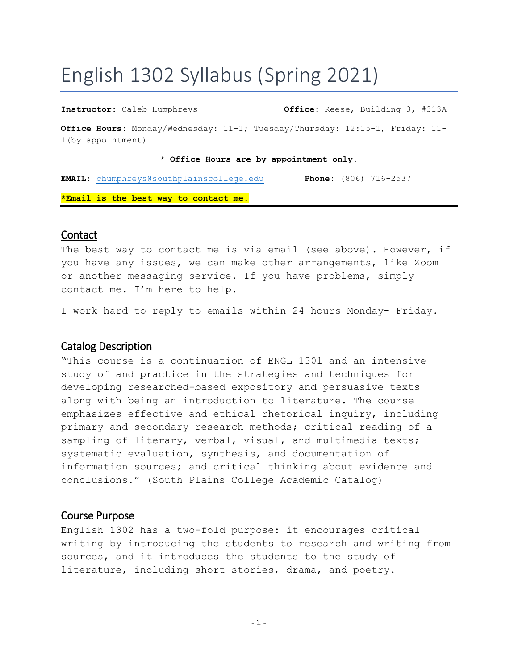# English 1302 Syllabus (Spring 2021)

**Instructor:** Caleb Humphreys **Office:** Reese, Building 3, #313A **Office Hours:** Monday/Wednesday: 11-1; Tuesday/Thursday: 12:15-1, Friday: 11- 1(by appointment)

#### \* **Office Hours are by appointment only.**

**EMAIL**: [chumphreys@southplainscollege.edu](mailto:chumphreys@southplainscollege.edu) **Phone:** (806) 716-2537 **\*Email is the best way to contact me.**

#### Contact

The best way to contact me is via email (see above). However, if you have any issues, we can make other arrangements, like Zoom or another messaging service. If you have problems, simply contact me. I'm here to help.

I work hard to reply to emails within 24 hours Monday- Friday.

### Catalog Description

"This course is a continuation of ENGL 1301 and an intensive study of and practice in the strategies and techniques for developing researched-based expository and persuasive texts along with being an introduction to literature. The course emphasizes effective and ethical rhetorical inquiry, including primary and secondary research methods; critical reading of a sampling of literary, verbal, visual, and multimedia texts; systematic evaluation, synthesis, and documentation of information sources; and critical thinking about evidence and conclusions." (South Plains College Academic Catalog)

#### Course Purpose

English 1302 has a two-fold purpose: it encourages critical writing by introducing the students to research and writing from sources, and it introduces the students to the study of literature, including short stories, drama, and poetry.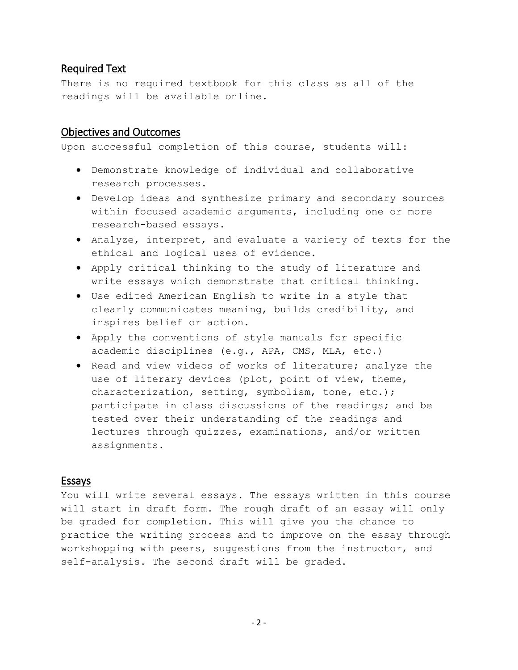# Required Text

There is no required textbook for this class as all of the readings will be available online.

# Objectives and Outcomes

Upon successful completion of this course, students will:

- Demonstrate knowledge of individual and collaborative research processes.
- Develop ideas and synthesize primary and secondary sources within focused academic arguments, including one or more research-based essays.
- Analyze, interpret, and evaluate a variety of texts for the ethical and logical uses of evidence.
- Apply critical thinking to the study of literature and write essays which demonstrate that critical thinking.
- Use edited American English to write in a style that clearly communicates meaning, builds credibility, and inspires belief or action.
- Apply the conventions of style manuals for specific academic disciplines (e.g., APA, CMS, MLA, etc.)
- Read and view videos of works of literature; analyze the use of literary devices (plot, point of view, theme, characterization, setting, symbolism, tone, etc.); participate in class discussions of the readings; and be tested over their understanding of the readings and lectures through quizzes, examinations, and/or written assignments.

# Essays

You will write several essays. The essays written in this course will start in draft form. The rough draft of an essay will only be graded for completion. This will give you the chance to practice the writing process and to improve on the essay through workshopping with peers, suggestions from the instructor, and self-analysis. The second draft will be graded.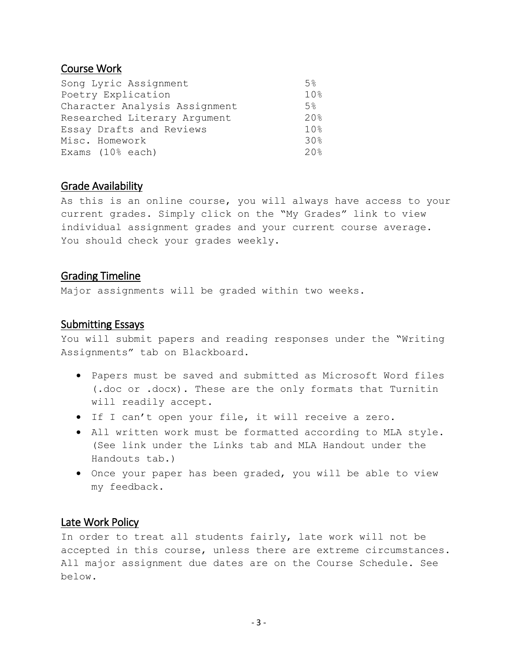# Course Work

| Song Lyric Assignment         | 5%              |
|-------------------------------|-----------------|
| Poetry Explication            | 10%             |
| Character Analysis Assignment | 5%              |
| Researched Literary Argument  | 20.8            |
| Essay Drafts and Reviews      | 10 <sub>8</sub> |
| Misc. Homework                | 30%             |
| Exams $(108 each)$            | 20%             |

# Grade Availability

As this is an online course, you will always have access to your current grades. Simply click on the "My Grades" link to view individual assignment grades and your current course average. You should check your grades weekly.

# Grading Timeline

Major assignments will be graded within two weeks.

# Submitting Essays

You will submit papers and reading responses under the "Writing Assignments" tab on Blackboard.

- Papers must be saved and submitted as Microsoft Word files (.doc or .docx). These are the only formats that Turnitin will readily accept.
- If I can't open your file, it will receive a zero.
- All written work must be formatted according to MLA style. (See link under the Links tab and MLA Handout under the Handouts tab.)
- Once your paper has been graded, you will be able to view my feedback.

# Late Work Policy

In order to treat all students fairly, late work will not be accepted in this course, unless there are extreme circumstances. All major assignment due dates are on the Course Schedule. See below.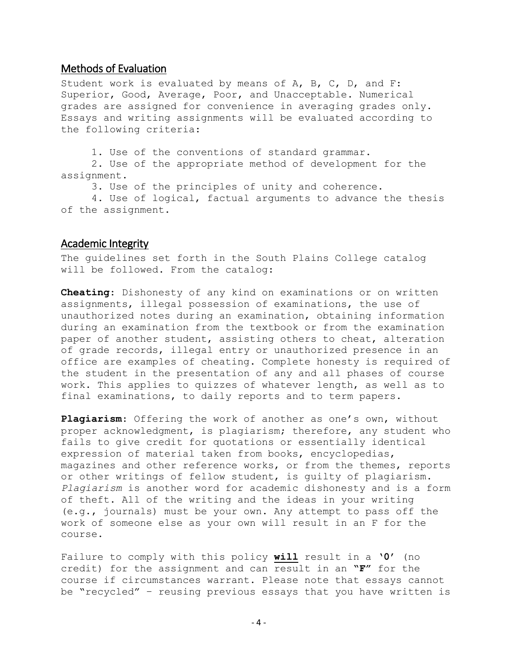#### Methods of Evaluation

Student work is evaluated by means of A, B, C, D, and F: Superior, Good, Average, Poor, and Unacceptable. Numerical grades are assigned for convenience in averaging grades only. Essays and writing assignments will be evaluated according to the following criteria:

1. Use of the conventions of standard grammar. 2. Use of the appropriate method of development for the assignment.

3. Use of the principles of unity and coherence.

4. Use of logical, factual arguments to advance the thesis of the assignment.

#### Academic Integrity

The guidelines set forth in the South Plains College catalog will be followed. From the catalog:

**Cheating**: Dishonesty of any kind on examinations or on written assignments, illegal possession of examinations, the use of unauthorized notes during an examination, obtaining information during an examination from the textbook or from the examination paper of another student, assisting others to cheat, alteration of grade records, illegal entry or unauthorized presence in an office are examples of cheating. Complete honesty is required of the student in the presentation of any and all phases of course work. This applies to quizzes of whatever length, as well as to final examinations, to daily reports and to term papers.

**Plagiarism**: Offering the work of another as one's own, without proper acknowledgment, is plagiarism; therefore, any student who fails to give credit for quotations or essentially identical expression of material taken from books, encyclopedias, magazines and other reference works, or from the themes, reports or other writings of fellow student, is guilty of plagiarism. *Plagiarism* is another word for academic dishonesty and is a form of theft. All of the writing and the ideas in your writing (e.g., journals) must be your own. Any attempt to pass off the work of someone else as your own will result in an F for the course.

Failure to comply with this policy **will** result in a **'0'** (no credit) for the assignment and can result in an **"F"** for the course if circumstances warrant. Please note that essays cannot be "recycled" – reusing previous essays that you have written is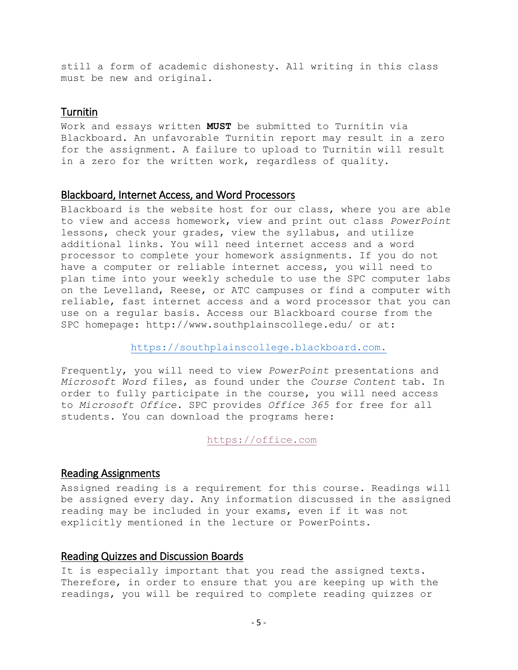still a form of academic dishonesty. All writing in this class must be new and original.

# Turnitin

Work and essays written **MUST** be submitted to Turnitin via Blackboard. An unfavorable Turnitin report may result in a zero for the assignment. A failure to upload to Turnitin will result in a zero for the written work, regardless of quality.

#### Blackboard, Internet Access, and Word Processors

Blackboard is the website host for our class, where you are able to view and access homework, view and print out class *PowerPoint* lessons, check your grades, view the syllabus, and utilize additional links. You will need internet access and a word processor to complete your homework assignments. If you do not have a computer or reliable internet access, you will need to plan time into your weekly schedule to use the SPC computer labs on the Levelland, Reese, or ATC campuses or find a computer with reliable, fast internet access and a word processor that you can use on a regular basis. Access our Blackboard course from the SPC homepage: http://www.southplainscollege.edu/ or at:

[https://southplainscollege.blackboard.com.](https://southplainscollege.blackboard.com/)

Frequently, you will need to view *PowerPoint* presentations and *Microsoft Word* files, as found under the *Course Content* tab. In order to fully participate in the course, you will need access to *Microsoft Office.* SPC provides *Office 365* for free for all students. You can download the programs here:

[https://office.com](https://office.com/)

#### Reading Assignments

Assigned reading is a requirement for this course. Readings will be assigned every day. Any information discussed in the assigned reading may be included in your exams, even if it was not explicitly mentioned in the lecture or PowerPoints.

# Reading Quizzes and Discussion Boards

It is especially important that you read the assigned texts. Therefore, in order to ensure that you are keeping up with the readings, you will be required to complete reading quizzes or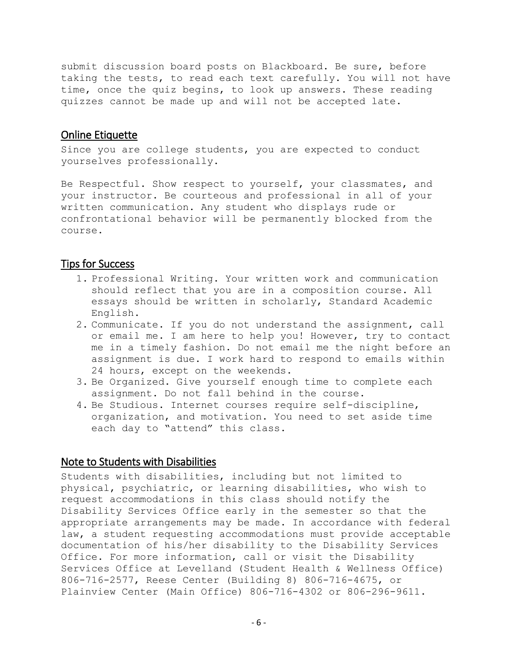submit discussion board posts on Blackboard. Be sure, before taking the tests, to read each text carefully. You will not have time, once the quiz begins, to look up answers. These reading quizzes cannot be made up and will not be accepted late.

#### Online Etiquette

Since you are college students, you are expected to conduct yourselves professionally.

Be Respectful. Show respect to yourself, your classmates, and your instructor. Be courteous and professional in all of your written communication. Any student who displays rude or confrontational behavior will be permanently blocked from the course.

## Tips for Success

- 1. Professional Writing. Your written work and communication should reflect that you are in a composition course. All essays should be written in scholarly, Standard Academic English.
- 2. Communicate. If you do not understand the assignment, call or email me. I am here to help you! However, try to contact me in a timely fashion. Do not email me the night before an assignment is due. I work hard to respond to emails within 24 hours, except on the weekends.
- 3. Be Organized. Give yourself enough time to complete each assignment. Do not fall behind in the course.
- 4. Be Studious. Internet courses require self-discipline, organization, and motivation. You need to set aside time each day to "attend" this class.

### Note to Students with Disabilities

Students with disabilities, including but not limited to physical, psychiatric, or learning disabilities, who wish to request accommodations in this class should notify the Disability Services Office early in the semester so that the appropriate arrangements may be made. In accordance with federal law, a student requesting accommodations must provide acceptable documentation of his/her disability to the Disability Services Office. For more information, call or visit the Disability Services Office at Levelland (Student Health & Wellness Office) 806-716-2577, Reese Center (Building 8) 806-716-4675, or Plainview Center (Main Office) 806-716-4302 or 806-296-9611.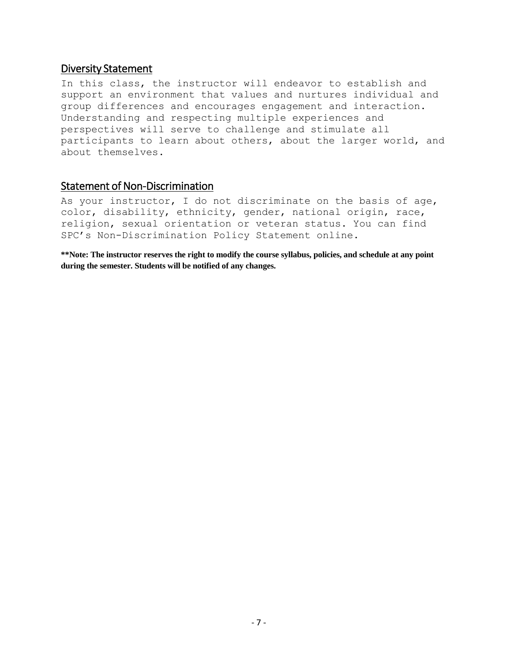## Diversity Statement

In this class, the instructor will endeavor to establish and support an environment that values and nurtures individual and group differences and encourages engagement and interaction. Understanding and respecting multiple experiences and perspectives will serve to challenge and stimulate all participants to learn about others, about the larger world, and about themselves.

## Statement of Non-Discrimination

As your instructor, I do not discriminate on the basis of age, color, disability, ethnicity, gender, national origin, race, religion, sexual orientation or veteran status. You can find SPC's Non-Discrimination Policy Statement online.

**\*\*Note: The instructor reserves the right to modify the course syllabus, policies, and schedule at any point during the semester. Students will be notified of any changes.**